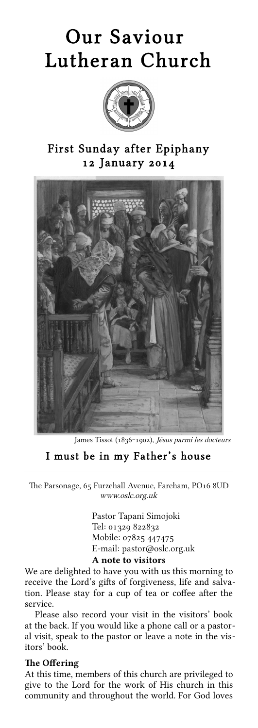# Our Saviour Lutheran Church



## First Sunday after Epiphany 12 January 2014



James Tissot (1836-1902), Jésus parmi les docteurs

## I must be in my Father's house

The Parsonage, 65 Furzehall Avenue, Fareham, PO16 8UD www.oslc.org.uk

> Pastor Tapani Simojoki Tel: 01329 822832 Mobile: 07825 447475 E-mail: pastor@oslc.org.uk

#### A note to visitors

We are delighted to have you with us this morning to receive the Lord's gifts of forgiveness, life and salvation. Please stay for a cup of tea or coffee after the service.

Please also record your visit in the visitors' book at the back. If you would like a phone call or a pastoral visit, speak to the pastor or leave a note in the visitors' book.

#### The Offering

At this time, members of this church are privileged to give to the Lord for the work of His church in this community and throughout the world. For God loves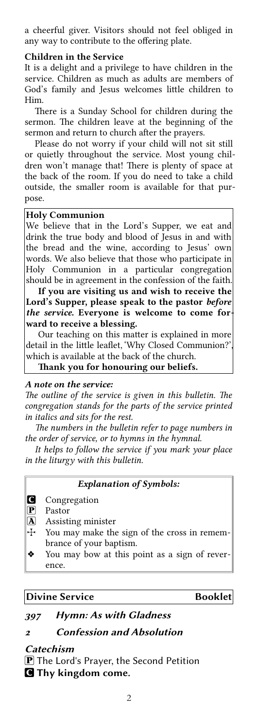a cheerful giver. Visitors should not feel obliged in any way to contribute to the offering plate.

#### Children in the Service

It is a delight and a privilege to have children in the service. Children as much as adults are members of God's family and Jesus welcomes litle children to Him.

There is a Sunday School for children during the sermon. The children leave at the beginning of the sermon and return to church after the prayers.

Please do not worry if your child will not sit still or quietly throughout the service. Most young children won't manage that! There is plenty of space at the back of the room. If you do need to take a child outside, the smaller room is available for that purpose.

#### Holy Communion

We believe that in the Lord's Supper, we eat and drink the true body and blood of Jesus in and with the bread and the wine, according to Jesus' own words. We also believe that those who participate in Holy Communion in a particular congregation should be in agreement in the confession of the faith.

If you are visiting us and wish to receive the Lord's Supper, please speak to the pastor before the service. Everyone is welcome to come forward to receive a blessing.

Our teaching on this matter is explained in more detail in the little leaflet, 'Why Closed Communion?' which is available at the back of the church.

Thank you for honouring our beliefs.

#### A note on the service:

The outline of the service is given in this bulletin. The congregation stands for the parts of the service printed in italics and sits for the rest.

The numbers in the bulletin refer to page numbers in the order of service, or to hymns in the hymnal.

It helps to follow the service if you mark your place in the liturgy with this bulletin.

#### Explanation of Symbols:

**C** Congregation

P Pastor

- A Assisting minister
- T You may make the sign of the cross in remembrance of your baptism.
- **❖** You may bow at this point as a sign of reverence.

#### Divine Service **Booklet**

## <sup>397</sup> Hymn: As with Gladness

## <sup>2</sup> Confession and Absolution

#### Catechism

 $\mathbf{P}$  The Lord's Prayer, the Second Petition **C** Thy kingdom come.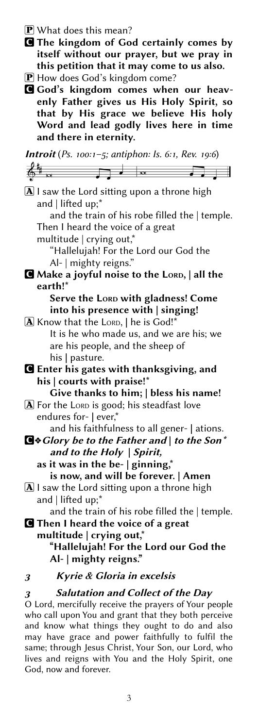$\bf{P}$  What does this mean?

- C The kingdom of God certainly comes by itself without our prayer, but we pray in this petition that it may come to us also.
- P How does God's kingdom come?
- G God's kingdom comes when our heavenly Father gives us His Holy Spirit, so that by His grace we believe His holy Word and lead godly lives here in time and there in eternity.

**Introit** (Ps. 100:1-5; antiphon: Is. 6:1, Rev. 19:6)

 $\overline{\phantom{a}}$  $\overline{\phantom{0}}$  $\boxed{\mathbf{A}}$  I saw the Lord sitting upon a throne high and | lifted up;\* and the train of his robe filled the | temple. Then I heard the voice of a great multitude | crying out,\* "Hallelujah! For the Lord our God the Al- | mighty reigns." C Make a joyful noise to the LORD, | all the earth!\* Serve the LORD with gladness! Come into his presence with | singing! A Know that the LORD, | he is God!' It is he who made us, and we are his; we are his people, and the sheep of his | pasture. C Enter his gates with thanksgiving, and his | courts with praise!\* Give thanks to him; | bless his name!  $\bf{A}$  For the LORD is good; his steadfast love endures for- | ever,\* and his faithfulness to all gener- | ations. C**❖**Glory be to the Father and | to the Son\* and to the Holy | Spirit, as it was in the be-  $|$  ginning,\* is now, and will be forever. | Amen  $\overline{A}$  I saw the Lord sitting upon a throne high and | lifed up;\* and the train of his robe filled the | temple. **C** Then I heard the voice of a great multitude | crying out,\* "Hallelujah! For the Lord our God the Al- | mighty reigns." <sup>3</sup> Kyrie & Gloria in excelsis

## <sup>3</sup> Salutation and Collect of the Day

O Lord, mercifully receive the prayers of Your people who call upon You and grant that they both perceive and know what things they ought to do and also may have grace and power faithfully to fulfil the same; through Jesus Christ, Your Son, our Lord, who lives and reigns with You and the Holy Spirit, one God, now and forever.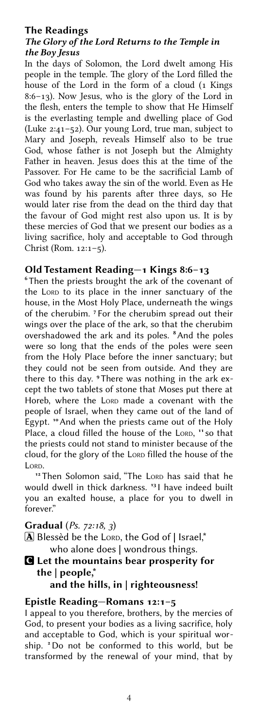## The Readings The Glory of the Lord Returns to the Temple in the Boy Jesus

In the days of Solomon, the Lord dwelt among His people in the temple. The glory of the Lord filled the house of the Lord in the form of a cloud (1 Kings 8:6–13). Now Jesus, who is the glory of the Lord in the flesh, enters the temple to show that He Himself is the everlasting temple and dwelling place of God (Luke 2:41–52). Our young Lord, true man, subject to Mary and Joseph, reveals Himself also to be true God, whose father is not Joseph but the Almighty Father in heaven. Jesus does this at the time of the Passover. For He came to be the sacrifcial Lamb of God who takes away the sin of the world. Even as He was found by his parents after three days, so He would later rise from the dead on the third day that the favour of God might rest also upon us. It is by these mercies of God that we present our bodies as a living sacrifce, holy and acceptable to God through Christ (Rom. 12:1–5).

## Old Testament Reading—1 Kings 8:6–13

<sup>6</sup> Then the priests brought the ark of the covenant of the LORD to its place in the inner sanctuary of the house, in the Most Holy Place, underneath the wings of the cherubim. <sup>7</sup> For the cherubim spread out their wings over the place of the ark, so that the cherubim overshadowed the ark and its poles. <sup>8</sup> And the poles were so long that the ends of the poles were seen from the Holy Place before the inner sanctuary; but they could not be seen from outside. And they are there to this day. <sup>9</sup> There was nothing in the ark except the two tablets of stone that Moses put there at Horeb, where the LORD made a covenant with the people of Israel, when they came out of the land of Egypt. "And when the priests came out of the Holy Place, a cloud filled the house of the LORD, "so that the priests could not stand to minister because of the cloud, for the glory of the LORD filled the house of the LORD.

<sup>12</sup> Then Solomon said, "The LORD has said that he would dwell in thick darkness. <sup>13</sup> I have indeed built you an exalted house, a place for you to dwell in forever."

## Gradual (Ps. 72:18, 3)

- $[A]$  Blessèd be the LORD, the God of | Israel,\* who alone does | wondrous things.
- C Let the mountains bear prosperity for the | people,\*

## and the hills, in | righteousness!

## Epistle Reading—Romans 12:1–5

I appeal to you therefore, brothers, by the mercies of God, to present your bodies as a living sacrifice, holy and acceptable to God, which is your spiritual worship. <sup>2</sup>Do not be conformed to this world, but be transformed by the renewal of your mind, that by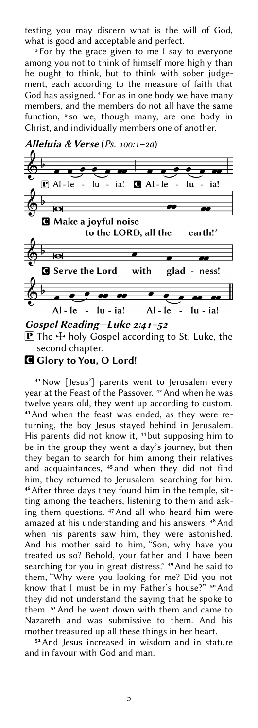testing you may discern what is the will of God, what is good and acceptable and perfect.

<sup>3</sup> For by the grace given to me I say to everyone among you not to think of himself more highly than he ought to think, but to think with sober judgement, each according to the measure of faith that God has assigned. <sup>4</sup> For as in one body we have many members, and the members do not all have the same function, <sup>5</sup> so we, though many, are one body in Christ, and individually members one of another.



**P** The  $\div$  holy Gospel according to St. Luke, the

second chapter.

G Glory to You, O Lord!

<sup>41</sup>Now [Jesus'] parents went to Jerusalem every year at the Feast of the Passover.<sup>42</sup> And when he was twelve years old, they went up according to custom. 43And when the feast was ended, as they were returning, the boy Jesus stayed behind in Jerusalem. His parents did not know it, <sup>44</sup> but supposing him to be in the group they went a day's journey, but then they began to search for him among their relatives and acquaintances, <sup>45</sup> and when they did not find him, they returned to Jerusalem, searching for him. <sup>46</sup> After three days they found him in the temple, sitting among the teachers, listening to them and asking them questions. <sup>47</sup> And all who heard him were amazed at his understanding and his answers. <sup>48</sup> And when his parents saw him, they were astonished. And his mother said to him, "Son, why have you treated us so? Behold, your father and I have been searching for you in great distress." <sup>49</sup>And he said to them, "Why were you looking for me? Did you not know that I must be in my Father's house?" <sup>50</sup> And they did not understand the saying that he spoke to them. <sup>51</sup> And he went down with them and came to Nazareth and was submissive to them. And his mother treasured up all these things in her heart.

<sup>52</sup> And Jesus increased in wisdom and in stature and in favour with God and man.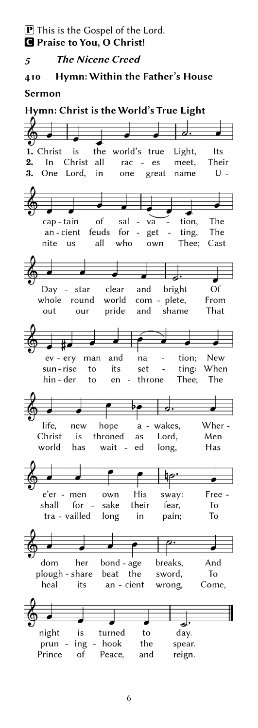5 The Nicene Creed

## 410 Hymn: Within the Father's House

#### Sermon

Hymn: Christ is the World's True Light

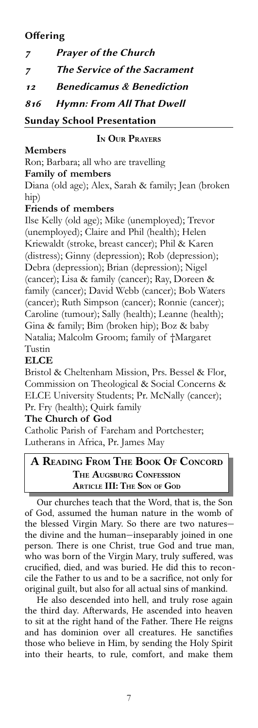## **Offering**

| 7  | <b>Prayer of the Church</b>          |
|----|--------------------------------------|
| 7  | <b>The Service of the Sacrament</b>  |
| 12 | <b>Benedicamus &amp; Benediction</b> |
|    | 816 Hymn: From All That Dwell        |
|    | $\sim$ 1 c 1 in                      |

Sunday School Presentation

## IN OUR PRAYERS

## **Members**

Ron; Barbara; all who are travelling **Family of members**

Diana (old age); Alex, Sarah & family; Jean (broken hip)

## **Friends of members**

Ilse Kelly (old age); Mike (unemployed); Trevor (unemployed); Claire and Phil (health); Helen Kriewaldt (stroke, breast cancer); Phil & Karen (distress); Ginny (depression); Rob (depression); Debra (depression); Brian (depression); Nigel (cancer); Lisa & family (cancer); Ray, Doreen & family (cancer); David Webb (cancer); Bob Waters (cancer); Ruth Simpson (cancer); Ronnie (cancer); Caroline (tumour); Sally (health); Leanne (health); Gina & family; Bim (broken hip); Boz & baby Natalia; Malcolm Groom; family of †Margaret Tustin

## **ELCE**

Bristol & Cheltenham Mission, Prs. Bessel & Flor, Commission on Theological & Social Concerns & ELCE University Students; Pr. McNally (cancer); Pr. Fry (health); Quirk family

## **The Church of God**

Catholic Parish of Fareham and Portchester; Lutherans in Africa, Pr. James May

## A READING FROM THE BOOK OF CONCORD THE AUGSBURG CONFESSION **ARTICLE III: THE SON OF GOD**

Our churches teach that the Word, that is, the Son of God, assumed the human nature in the womb of the blessed Virgin Mary. So there are two natures the divine and the human—inseparably joined in one person. There is one Christ, true God and true man, who was born of the Virgin Mary, truly sufered, was crucifed, died, and was buried. He did this to reconcile the Father to us and to be a sacrifce, not only for original guilt, but also for all actual sins of mankind.

He also descended into hell, and truly rose again the third day. Aferwards, He ascended into heaven to sit at the right hand of the Father. There He reigns and has dominion over all creatures. He sanctifes those who believe in Him, by sending the Holy Spirit into their hearts, to rule, comfort, and make them